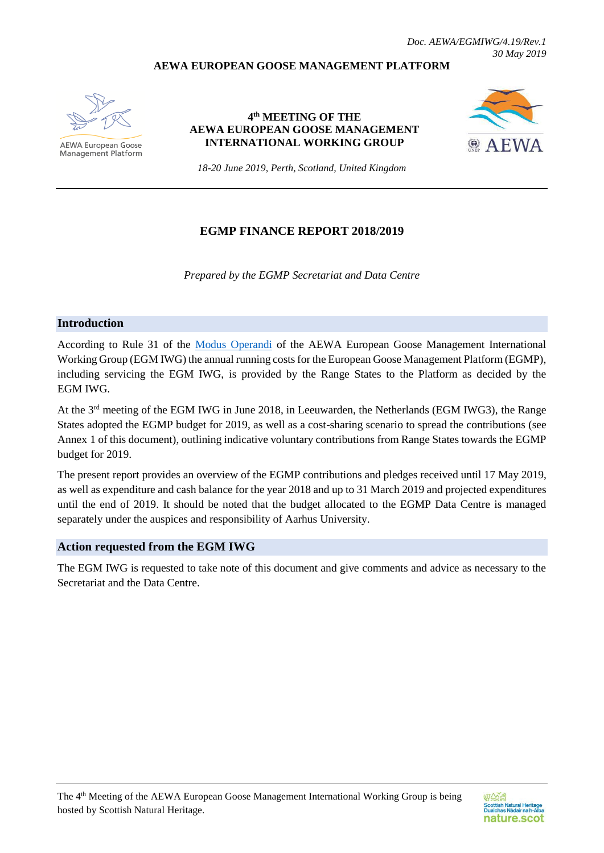#### **AEWA EUROPEAN GOOSE MANAGEMENT PLATFORM**



**AEWA European Goose Management Platform** 

**4 th MEETING OF THE AEWA EUROPEAN GOOSE MANAGEMENT INTERNATIONAL WORKING GROUP**



*18-20 June 2019, Perth, Scotland, United Kingdom*

#### **EGMP FINANCE REPORT 2018/2019**

*Prepared by the EGMP Secretariat and Data Centre*

#### **Introduction**

According to Rule 31 of the [Modus Operandi](https://egmp.aewa.info/sites/default/files/download/population_status_reports/AEWA%20EGMP%20Modus%20Operandi%20version%2002.0.pdf) of the AEWA European Goose Management International Working Group (EGM IWG) the annual running costs for the European Goose Management Platform (EGMP), including servicing the EGM IWG, is provided by the Range States to the Platform as decided by the EGM IWG.

At the 3rd meeting of the EGM IWG in June 2018, in Leeuwarden, the Netherlands (EGM IWG3), the Range States adopted the EGMP budget for 2019, as well as a cost-sharing scenario to spread the contributions (see Annex 1 of this document), outlining indicative voluntary contributions from Range States towards the EGMP budget for 2019.

The present report provides an overview of the EGMP contributions and pledges received until 17 May 2019, as well as expenditure and cash balance for the year 2018 and up to 31 March 2019 and projected expenditures until the end of 2019. It should be noted that the budget allocated to the EGMP Data Centre is managed separately under the auspices and responsibility of Aarhus University.

#### **Action requested from the EGM IWG**

The EGM IWG is requested to take note of this document and give comments and advice as necessary to the Secretariat and the Data Centre.

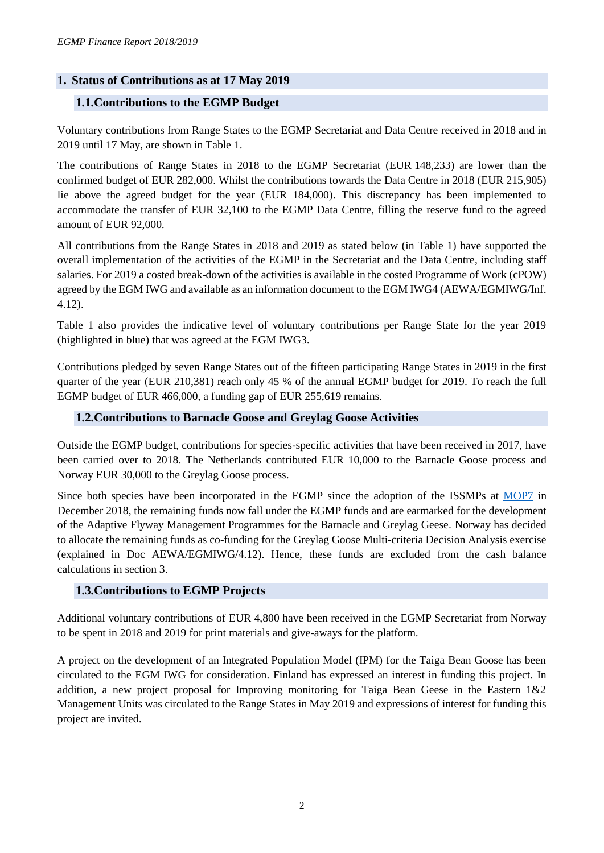# **1. Status of Contributions as at 17 May 2019**

### **1.1.Contributions to the EGMP Budget**

Voluntary contributions from Range States to the EGMP Secretariat and Data Centre received in 2018 and in 2019 until 17 May, are shown in Table 1.

The contributions of Range States in 2018 to the EGMP Secretariat (EUR 148,233) are lower than the confirmed budget of EUR 282,000. Whilst the contributions towards the Data Centre in 2018 (EUR 215,905) lie above the agreed budget for the year (EUR 184,000). This discrepancy has been implemented to accommodate the transfer of EUR 32,100 to the EGMP Data Centre, filling the reserve fund to the agreed amount of EUR 92,000.

All contributions from the Range States in 2018 and 2019 as stated below (in Table 1) have supported the overall implementation of the activities of the EGMP in the Secretariat and the Data Centre, including staff salaries. For 2019 a costed break-down of the activities is available in the costed Programme of Work (cPOW) agreed by the EGM IWG and available as an information document to the EGM IWG4 (AEWA/EGMIWG/Inf. 4.12).

Table 1 also provides the indicative level of voluntary contributions per Range State for the year 2019 (highlighted in blue) that was agreed at the EGM IWG3.

Contributions pledged by seven Range States out of the fifteen participating Range States in 2019 in the first quarter of the year (EUR 210,381) reach only 45 % of the annual EGMP budget for 2019. To reach the full EGMP budget of EUR 466,000, a funding gap of EUR 255,619 remains.

### **1.2.Contributions to Barnacle Goose and Greylag Goose Activities**

Outside the EGMP budget, contributions for species-specific activities that have been received in 2017, have been carried over to 2018. The Netherlands contributed EUR 10,000 to the Barnacle Goose process and Norway EUR 30,000 to the Greylag Goose process.

Since both species have been incorporated in the EGMP since the adoption of the ISSMPs at [MOP7](https://www.unep-aewa.org/sites/default/files/document/AEWA%20MOP7%20Consolidated%20Report_FINAL_0.pdf) in December 2018, the remaining funds now fall under the EGMP funds and are earmarked for the development of the Adaptive Flyway Management Programmes for the Barnacle and Greylag Geese. Norway has decided to allocate the remaining funds as co-funding for the Greylag Goose Multi-criteria Decision Analysis exercise (explained in Doc AEWA/EGMIWG/4.12). Hence, these funds are excluded from the cash balance calculations in section 3.

### **1.3.Contributions to EGMP Projects**

Additional voluntary contributions of EUR 4,800 have been received in the EGMP Secretariat from Norway to be spent in 2018 and 2019 for print materials and give-aways for the platform.

A project on the development of an Integrated Population Model (IPM) for the Taiga Bean Goose has been circulated to the EGM IWG for consideration. Finland has expressed an interest in funding this project. In addition, a new project proposal for Improving monitoring for Taiga Bean Geese in the Eastern 1&2 Management Units was circulated to the Range States in May 2019 and expressions of interest for funding this project are invited.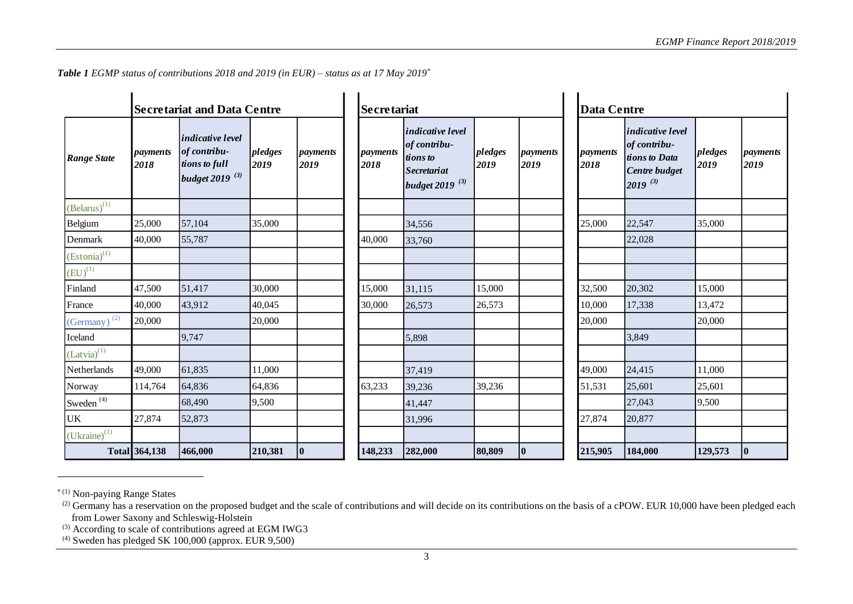| <b>Secretariat and Data Centre</b> |                  |                                                                                        |                 |                  |                  | <b>Secretariat</b>                                                                        |                 |                  |                         | <b>Data Centre</b>                                                                        |                 |                  |  |
|------------------------------------|------------------|----------------------------------------------------------------------------------------|-----------------|------------------|------------------|-------------------------------------------------------------------------------------------|-----------------|------------------|-------------------------|-------------------------------------------------------------------------------------------|-----------------|------------------|--|
| <b>Range State</b>                 | payments<br>2018 | <i>indicative level</i><br>of contribu-<br>tions to full<br>budget 2019 <sup>(3)</sup> | pledges<br>2019 | payments<br>2019 | payments<br>2018 | indicative level<br>of contribu-<br>tions to<br>Secretariat<br>budget 2019 <sup>(3)</sup> | pledges<br>2019 | payments<br>2019 | <i>payments</i><br>2018 | <i>indicative level</i><br>of contribu-<br>tions to Data<br>Centre budget<br>$2019^{(3)}$ | pledges<br>2019 | payments<br>2019 |  |
| $(Belarus)^{(1)}$                  |                  |                                                                                        |                 |                  |                  |                                                                                           |                 |                  |                         |                                                                                           |                 |                  |  |
| Belgium                            | 25,000           | 57,104                                                                                 | 35,000          |                  |                  | 34,556                                                                                    |                 |                  | 25,000                  | 22,547                                                                                    | 35,000          |                  |  |
| Denmark                            | 40,000           | 55,787                                                                                 |                 |                  | 40,000           | 33,760                                                                                    |                 |                  |                         | 22,028                                                                                    |                 |                  |  |
| $(Estonia)^{(1)}$                  |                  |                                                                                        |                 |                  |                  |                                                                                           |                 |                  |                         |                                                                                           |                 |                  |  |
| $(EU)^{(1)}$                       |                  |                                                                                        |                 |                  |                  |                                                                                           |                 |                  |                         |                                                                                           |                 |                  |  |
| Finland                            | 47,500           | 51,417                                                                                 | 30,000          |                  | 15,000           | 31,115                                                                                    | 15,000          |                  | 32,500                  | 20,302                                                                                    | 15,000          |                  |  |
| France                             | 40,000           | 43,912                                                                                 | 40,045          |                  | 30,000           | 26,573                                                                                    | 26,573          |                  | 10,000                  | 17,338                                                                                    | 13,472          |                  |  |
| $(Germany)$ <sup>(2)</sup>         | 20,000           |                                                                                        | 20,000          |                  |                  |                                                                                           |                 |                  | 20,000                  |                                                                                           | 20,000          |                  |  |
| Iceland                            |                  | 9,747                                                                                  |                 |                  |                  | 5,898                                                                                     |                 |                  |                         | 3,849                                                                                     |                 |                  |  |
| $(Latvia)^{(1)}$                   |                  |                                                                                        |                 |                  |                  |                                                                                           |                 |                  |                         |                                                                                           |                 |                  |  |
| Netherlands                        | 49,000           | 61,835                                                                                 | 11,000          |                  |                  | 37,419                                                                                    |                 |                  | 49,000                  | 24,415                                                                                    | 11,000          |                  |  |
| Norway                             | 114,764          | 64,836                                                                                 | 64,836          |                  | 63,233           | 39,236                                                                                    | 39,236          |                  | 51,531                  | 25,601                                                                                    | 25,601          |                  |  |
| Sweden <sup>(4)</sup>              |                  | 68,490                                                                                 | 9,500           |                  |                  | 41,447                                                                                    |                 |                  |                         | 27,043                                                                                    | 9,500           |                  |  |
| UK                                 | 27,874           | 52,873                                                                                 |                 |                  |                  | 31,996                                                                                    |                 |                  | 27,874                  | 20,877                                                                                    |                 |                  |  |
| $(Uk^{\text{raine}})^{(1)}$        |                  |                                                                                        |                 |                  |                  |                                                                                           |                 |                  |                         |                                                                                           |                 |                  |  |
|                                    | Total 364,138    | 466,000                                                                                | 210,381         | $\bf{0}$         | 148,233          | 282,000                                                                                   | 80,809          | $\bf{0}$         | 215,905                 | 184,000                                                                                   | 129,573         | $ 0\rangle$      |  |

*Table 1 EGMP status of contributions 2018 and 2019 (in EUR) – status as at 17 May 2019 \**

l

 $^{(2)}$  Germany has a reservation on the proposed budget and the scale of contributions and will decide on its contributions on the basis of a cPOW. EUR 10,000 have been pledged each from Lower Saxony and Schleswig-Holstein

<sup>&</sup>lt;sup>(3)</sup> According to scale of contributions agreed at EGM IWG3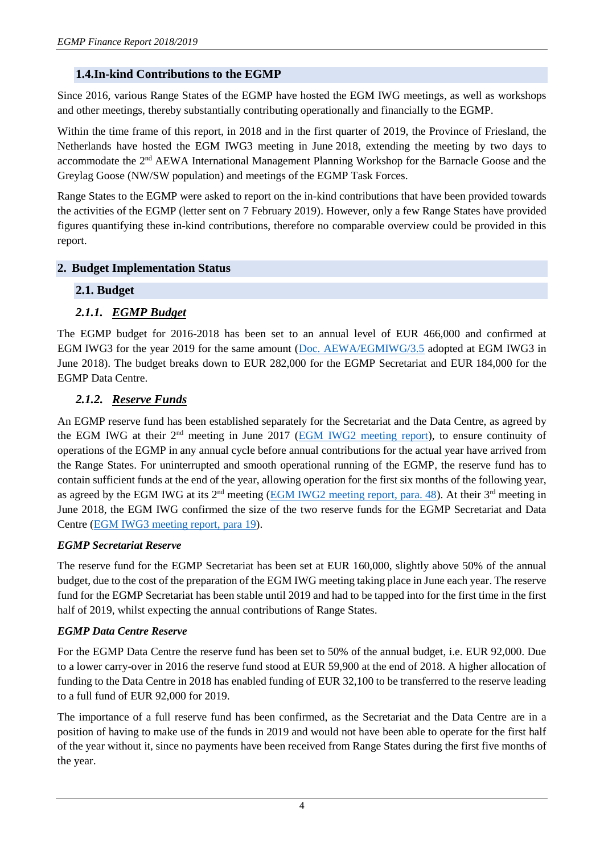# **1.4.In-kind Contributions to the EGMP**

Since 2016, various Range States of the EGMP have hosted the EGM IWG meetings, as well as workshops and other meetings, thereby substantially contributing operationally and financially to the EGMP.

Within the time frame of this report, in 2018 and in the first quarter of 2019, the Province of Friesland, the Netherlands have hosted the EGM IWG3 meeting in June 2018, extending the meeting by two days to accommodate the 2<sup>nd</sup> AEWA International Management Planning Workshop for the Barnacle Goose and the Greylag Goose (NW/SW population) and meetings of the EGMP Task Forces.

Range States to the EGMP were asked to report on the in-kind contributions that have been provided towards the activities of the EGMP (letter sent on 7 February 2019). However, only a few Range States have provided figures quantifying these in-kind contributions, therefore no comparable overview could be provided in this report.

# **2. Budget Implementation Status**

# **2.1. Budget**

# *2.1.1. EGMP Budget*

The EGMP budget for 2016-2018 has been set to an annual level of EUR 466,000 and confirmed at EGM IWG3 for the year 2019 for the same amount [\(Doc. AEWA/EGMIWG/3.5](http://egmp.aewa.info/sites/default/files/meeting_files/documents/AEWA_EGM_IWG_3_5_EGMP_budget_2019_final.pdf) adopted at EGM IWG3 in June 2018). The budget breaks down to EUR 282,000 for the EGMP Secretariat and EUR 184,000 for the EGMP Data Centre.

# *2.1.2. Reserve Funds*

An EGMP reserve fund has been established separately for the Secretariat and the Data Centre, as agreed by the EGM IWG at their 2nd meeting in June 2017 [\(EGM IWG2 meeting report\)](http://egmp.aewa.info/sites/default/files/meeting_files/reports/aewa_egm_iwg_2_report.pdf), to ensure continuity of operations of the EGMP in any annual cycle before annual contributions for the actual year have arrived from the Range States. For uninterrupted and smooth operational running of the EGMP, the reserve fund has to contain sufficient funds at the end of the year, allowing operation for the first six months of the following year, as agreed by the EGM IWG at its 2<sup>nd</sup> meeting [\(EGM IWG2 meeting report, para. 48\)](http://egmp.aewa.info/sites/default/files/meeting_files/reports/aewa_egm_iwg_2_report.pdf). At their 3<sup>rd</sup> meeting in June 2018, the EGM IWG confirmed the size of the two reserve funds for the EGMP Secretariat and Data Centre [\(EGM IWG3 meeting report, para 19\)](http://egmp.aewa.info/sites/default/files/meeting_files/reports/AEWA_EGM_IWG_3_meeting%20_report_Rev.1_0.pdf).

### *EGMP Secretariat Reserve*

The reserve fund for the EGMP Secretariat has been set at EUR 160,000, slightly above 50% of the annual budget, due to the cost of the preparation of the EGM IWG meeting taking place in June each year. The reserve fund for the EGMP Secretariat has been stable until 2019 and had to be tapped into for the first time in the first half of 2019, whilst expecting the annual contributions of Range States.

### *EGMP Data Centre Reserve*

For the EGMP Data Centre the reserve fund has been set to 50% of the annual budget, i.e. EUR 92,000. Due to a lower carry-over in 2016 the reserve fund stood at EUR 59,900 at the end of 2018. A higher allocation of funding to the Data Centre in 2018 has enabled funding of EUR 32,100 to be transferred to the reserve leading to a full fund of EUR 92,000 for 2019.

The importance of a full reserve fund has been confirmed, as the Secretariat and the Data Centre are in a position of having to make use of the funds in 2019 and would not have been able to operate for the first half of the year without it, since no payments have been received from Range States during the first five months of the year.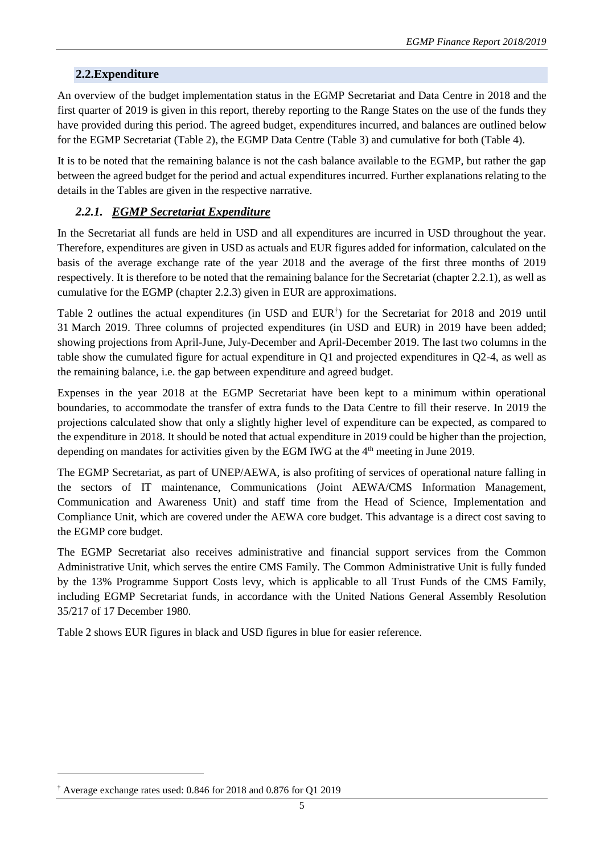# **2.2.Expenditure**

An overview of the budget implementation status in the EGMP Secretariat and Data Centre in 2018 and the first quarter of 2019 is given in this report, thereby reporting to the Range States on the use of the funds they have provided during this period. The agreed budget, expenditures incurred, and balances are outlined below for the EGMP Secretariat (Table 2), the EGMP Data Centre (Table 3) and cumulative for both (Table 4).

It is to be noted that the remaining balance is not the cash balance available to the EGMP, but rather the gap between the agreed budget for the period and actual expenditures incurred. Further explanations relating to the details in the Tables are given in the respective narrative.

# *2.2.1. EGMP Secretariat Expenditure*

In the Secretariat all funds are held in USD and all expenditures are incurred in USD throughout the year. Therefore, expenditures are given in USD as actuals and EUR figures added for information, calculated on the basis of the average exchange rate of the year 2018 and the average of the first three months of 2019 respectively. It is therefore to be noted that the remaining balance for the Secretariat (chapter 2.2.1), as well as cumulative for the EGMP (chapter 2.2.3) given in EUR are approximations.

Table 2 outlines the actual expenditures (in USD and EUR<sup>†</sup>) for the Secretariat for 2018 and 2019 until 31 March 2019. Three columns of projected expenditures (in USD and EUR) in 2019 have been added; showing projections from April-June, July-December and April-December 2019. The last two columns in the table show the cumulated figure for actual expenditure in Q1 and projected expenditures in Q2-4, as well as the remaining balance, i.e. the gap between expenditure and agreed budget.

Expenses in the year 2018 at the EGMP Secretariat have been kept to a minimum within operational boundaries, to accommodate the transfer of extra funds to the Data Centre to fill their reserve. In 2019 the projections calculated show that only a slightly higher level of expenditure can be expected, as compared to the expenditure in 2018. It should be noted that actual expenditure in 2019 could be higher than the projection, depending on mandates for activities given by the EGM IWG at the  $4<sup>th</sup>$  meeting in June 2019.

The EGMP Secretariat, as part of UNEP/AEWA, is also profiting of services of operational nature falling in the sectors of IT maintenance, Communications (Joint AEWA/CMS Information Management, Communication and Awareness Unit) and staff time from the Head of Science, Implementation and Compliance Unit, which are covered under the AEWA core budget. This advantage is a direct cost saving to the EGMP core budget.

The EGMP Secretariat also receives administrative and financial support services from the Common Administrative Unit, which serves the entire CMS Family. The Common Administrative Unit is fully funded by the 13% Programme Support Costs levy, which is applicable to all Trust Funds of the CMS Family, including EGMP Secretariat funds, in accordance with the United Nations General Assembly Resolution 35/217 of 17 December 1980.

Table 2 shows EUR figures in black and USD figures in blue for easier reference.

<sup>†</sup> Average exchange rates used: 0.846 for 2018 and 0.876 for Q1 2019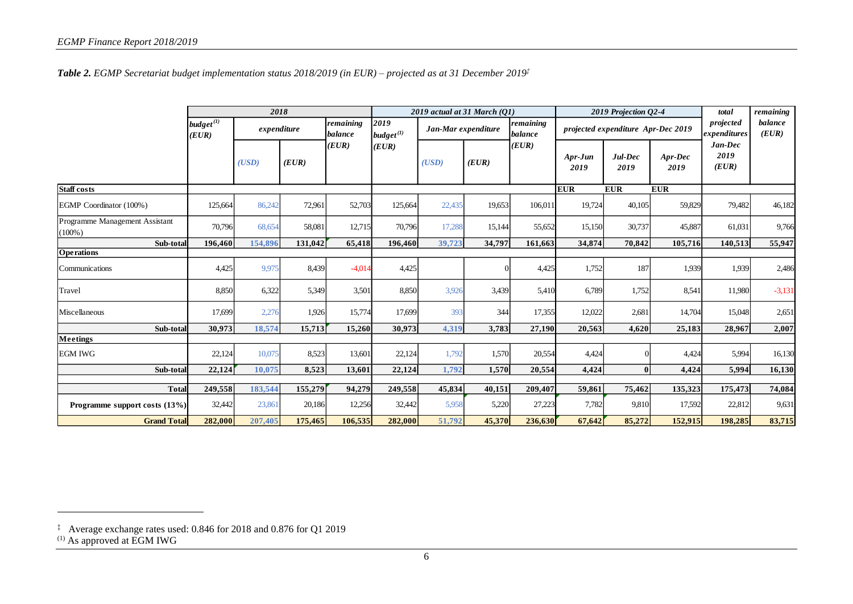*Table 2. EGMP Secretariat budget implementation status 2018/2019 (in EUR) – projected as at 31 December 2019‡*

| Staff costs<br>EGMP Coordinator (100%)<br>Programme Management Assistant<br>$(100\%)$<br>Sub-total<br><b>Operations</b> | $budget^{(1)}$<br>(EUR)<br>125,664<br>70,796 | expenditure<br>(USD)<br>86,242 | (EUR)   | remaining<br><b>balance</b><br>(EUR) | 2019<br>$budget^{(1)}$<br>(EUR) | Jan-Mar expenditure<br>(USD) |        | remaining<br><b>balance</b><br>(EUR) |                   | projected expenditure Apr-Dec 2019 |                 | projected<br>expenditures<br>Jan-Dec | balance<br>(EUR) |
|-------------------------------------------------------------------------------------------------------------------------|----------------------------------------------|--------------------------------|---------|--------------------------------------|---------------------------------|------------------------------|--------|--------------------------------------|-------------------|------------------------------------|-----------------|--------------------------------------|------------------|
|                                                                                                                         |                                              |                                |         |                                      |                                 |                              |        |                                      |                   |                                    |                 |                                      |                  |
|                                                                                                                         |                                              |                                |         |                                      |                                 |                              | (EUR)  |                                      | $Apr-Jun$<br>2019 | Jul-Dec<br>2019                    | Apr-Dec<br>2019 | 2019<br>(EUR)                        |                  |
|                                                                                                                         |                                              |                                |         |                                      |                                 |                              |        |                                      | <b>EUR</b>        | <b>EUR</b>                         | <b>EUR</b>      |                                      |                  |
|                                                                                                                         |                                              |                                | 72,961  | 52,703                               | 125,664                         | 22,435                       | 19,653 | 106,011                              | 19,724            | 40,105                             | 59,829          | 79,482                               | 46,182           |
|                                                                                                                         |                                              | 68,654                         | 58,081  | 12,715                               | 70,796                          | 17,288                       | 15,144 | 55,652                               | 15,150            | 30,737                             | 45,887          | 61,031                               | 9,766            |
|                                                                                                                         | 196,460                                      | 154,896                        | 131,042 | 65,418                               | 196,460                         | 39,723                       | 34,797 | 161,663                              | 34,874            | 70,842                             | 105,716         | 140,513                              | 55,947           |
|                                                                                                                         |                                              |                                |         |                                      |                                 |                              |        |                                      |                   |                                    |                 |                                      |                  |
| Communications                                                                                                          | 4,425                                        | 9,975                          | 8,439   | $-4,014$                             | 4,425                           |                              | 0      | 4,425                                | 1,752             | 187                                | 1,939           | 1,939                                | 2,486            |
| Travel                                                                                                                  | 8,850                                        | 6,322                          | 5,349   | 3,501                                | 8,850                           | 3,926                        | 3.439  | 5,410                                | 6,789             | 1,752                              | 8.541           | 11,980                               | $-3,131$         |
| Miscellaneous                                                                                                           | 17,699                                       | 2,276                          | 1,926   | 15,774                               | 17,699                          | 393                          | 344    | 17,355                               | 12,022            | 2,681                              | 14,704          | 15,048                               | 2,651            |
| Sub-total                                                                                                               | 30,973                                       | 18,574                         | 15,713  | 15,260                               | 30,973                          | 4,319                        | 3,783  | 27,190                               | 20,563            | 4,620                              | 25,183          | 28,967                               | 2,007            |
| Meetings                                                                                                                |                                              |                                |         |                                      |                                 |                              |        |                                      |                   |                                    |                 |                                      |                  |
| <b>EGM IWG</b>                                                                                                          | 22,124                                       | 10,075                         | 8,523   | 13,601                               | 22,124                          | 1,792                        | 1,570  | 20,554                               | 4,424             | $\Omega$                           | 4,424           | 5,994                                | 16,130           |
| Sub-total                                                                                                               | 22,124                                       | 10,075                         | 8,523   | 13,601                               | 22,124                          | 1,792                        | 1,570  | 20,554                               | 4,424             | $\bf{0}$                           | 4,424           | 5,994                                | 16,130           |
| <b>Total</b>                                                                                                            | 249,558                                      | 183,544                        | 155,279 | 94,279                               | 249,558                         | 45,834                       | 40,151 | 209,407                              | 59,861            | 75,462                             | 135,323         | 175,473                              | 74,084           |
| Programme support costs (13%)                                                                                           | 32,442                                       | 23,861                         | 20,186  | 12,256                               | 32,442                          | 5,958                        | 5,220  | 27,223                               | 7,782             | 9,810                              | 17,592          | 22,812                               | 9,631            |
| <b>Grand Total</b>                                                                                                      | 282,000                                      | 207,405                        | 175,465 | 106,535                              | 282,000                         | 51,792                       | 45,370 | 236,630                              | 67,642            |                                    | 152,915         | 198,285                              | 83,715           |
|                                                                                                                         |                                              |                                |         |                                      |                                 |                              |        |                                      |                   | 85,272                             |                 |                                      |                  |

<sup>‡</sup> Average exchange rates used: 0.846 for 2018 and 0.876 for Q1 2019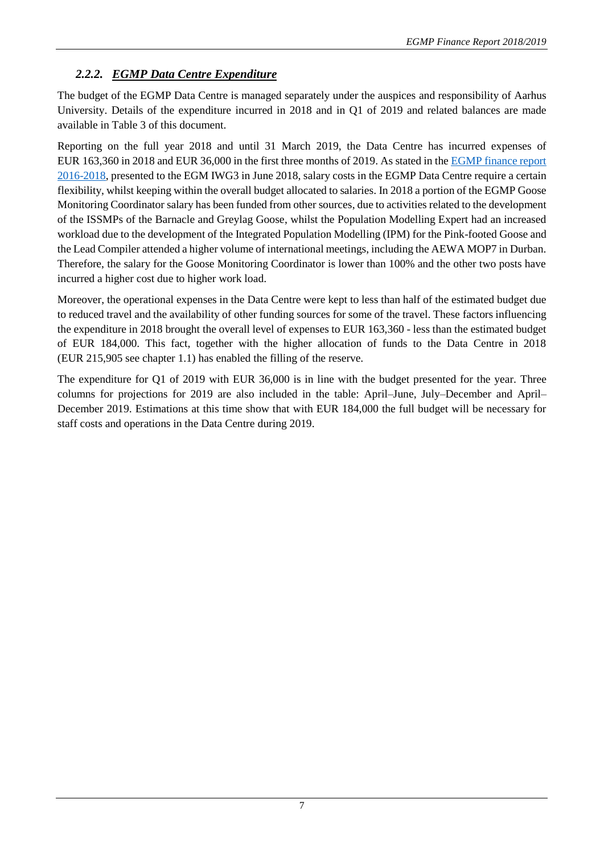# *2.2.2. EGMP Data Centre Expenditure*

The budget of the EGMP Data Centre is managed separately under the auspices and responsibility of Aarhus University. Details of the expenditure incurred in 2018 and in Q1 of 2019 and related balances are made available in Table 3 of this document.

Reporting on the full year 2018 and until 31 March 2019, the Data Centre has incurred expenses of EUR 163,360 in 2018 and EUR 36,000 in the first three months of 2019. As stated in th[e EGMP finance report](https://egmp.aewa.info/sites/default/files/meeting_files/documents/AEWA_EGM_IWG_3_4_finance%20report%202016-18_final.pdf)  [2016-2018,](https://egmp.aewa.info/sites/default/files/meeting_files/documents/AEWA_EGM_IWG_3_4_finance%20report%202016-18_final.pdf) presented to the EGM IWG3 in June 2018, salary costs in the EGMP Data Centre require a certain flexibility, whilst keeping within the overall budget allocated to salaries. In 2018 a portion of the EGMP Goose Monitoring Coordinator salary has been funded from other sources, due to activities related to the development of the ISSMPs of the Barnacle and Greylag Goose, whilst the Population Modelling Expert had an increased workload due to the development of the Integrated Population Modelling (IPM) for the Pink-footed Goose and the Lead Compiler attended a higher volume of international meetings, including the AEWA MOP7 in Durban. Therefore, the salary for the Goose Monitoring Coordinator is lower than 100% and the other two posts have incurred a higher cost due to higher work load.

Moreover, the operational expenses in the Data Centre were kept to less than half of the estimated budget due to reduced travel and the availability of other funding sources for some of the travel. These factors influencing the expenditure in 2018 brought the overall level of expenses to EUR 163,360 - less than the estimated budget of EUR 184,000. This fact, together with the higher allocation of funds to the Data Centre in 2018 (EUR 215,905 see chapter 1.1) has enabled the filling of the reserve.

The expenditure for Q1 of 2019 with EUR 36,000 is in line with the budget presented for the year. Three columns for projections for 2019 are also included in the table: April–June, July–December and April– December 2019. Estimations at this time show that with EUR 184,000 the full budget will be necessary for staff costs and operations in the Data Centre during 2019.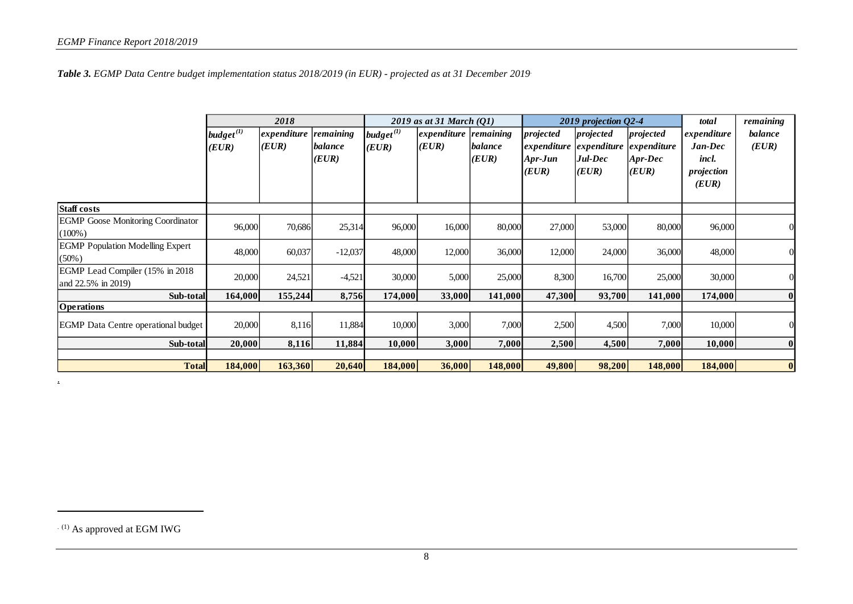*Table 3. EGMP Data Centre budget implementation status 2018/2019 (in EUR) - projected as at 31 December 2019*

|                                                        |                                      | 2018                 |                               |                         | 2019 as at 31 March $(Q1)$     |                  |                                              | 2019 projection $Q$ 2-4                      |                                              | total                                         | remaining        |
|--------------------------------------------------------|--------------------------------------|----------------------|-------------------------------|-------------------------|--------------------------------|------------------|----------------------------------------------|----------------------------------------------|----------------------------------------------|-----------------------------------------------|------------------|
|                                                        | $\boldsymbol{budget}^{(l)}$<br>(EUR) | expenditure<br>(EUR) | remaining<br>balance<br>(EUR) | $budget^{(1)}$<br>(EUR) | expenditure remaining<br>(EUR) | balance<br>(EUR) | projected<br>expenditure<br>Apr-Jun<br>(EUR) | projected<br>expenditure<br>Jul-Dec<br>(EUR) | projected<br>expenditure<br>Apr-Dec<br>(EUR) | expenditure<br>Jan-Dec<br>incl.<br>projection | balance<br>(EUR) |
| <b>Staff costs</b>                                     |                                      |                      |                               |                         |                                |                  |                                              |                                              |                                              | (EUR)                                         |                  |
| <b>EGMP</b> Goose Monitoring Coordinator<br>$(100\%)$  | 96,000                               | 70,686               | 25,314                        | 96,000                  | 16,000                         | 80,000           | 27,000                                       | 53,000                                       | 80,000                                       | 96,000                                        | 0                |
| <b>EGMP</b> Population Modelling Expert<br>(50%)       | 48,000                               | 60,037               | $-12,037$                     | 48,000                  | 12,000                         | 36,000           | 12,000                                       | 24,000                                       | 36,000                                       | 48,000                                        | $\overline{0}$   |
| EGMP Lead Compiler (15% in 2018)<br>and 22.5% in 2019) | 20,000                               | 24,521               | $-4,521$                      | 30,000                  | 5,000                          | 25,000           | 8,300                                        | 16,700                                       | 25,000                                       | 30,000                                        | 0                |
| Sub-total                                              | 164,000                              | 155,244              | 8,756                         | 174,000                 | 33,000                         | 141,000          | 47,300                                       | 93,700                                       | 141,000                                      | 174,000                                       | $\mathbf{0}$     |
| <b>Operations</b>                                      |                                      |                      |                               |                         |                                |                  |                                              |                                              |                                              |                                               |                  |
| <b>EGMP</b> Data Centre operational budget             | 20,000                               | 8,116                | 11,884                        | 10,000                  | 3,000                          | 7,000            | 2,500                                        | 4,500                                        | 7,000                                        | 10,000                                        | 0                |
| Sub-total                                              | 20,000                               | 8,116                | 11,884                        | 10,000                  | 3,000                          | 7,000            | 2,500                                        | 4,500                                        | 7,000                                        | 10,000                                        | $\mathbf{0}$     |
|                                                        |                                      |                      |                               |                         |                                |                  |                                              |                                              |                                              |                                               |                  |
| <b>Total</b>                                           | 184,000                              | 163,360              | 20,640                        | 184,000                 | 36,000                         | 148,000          | 49,800                                       | 98,200                                       | 148,000                                      | 184,000                                       | $\mathbf{0}$     |

 $(1)$  As approved at EGM IWG

 $\Delta$ 

l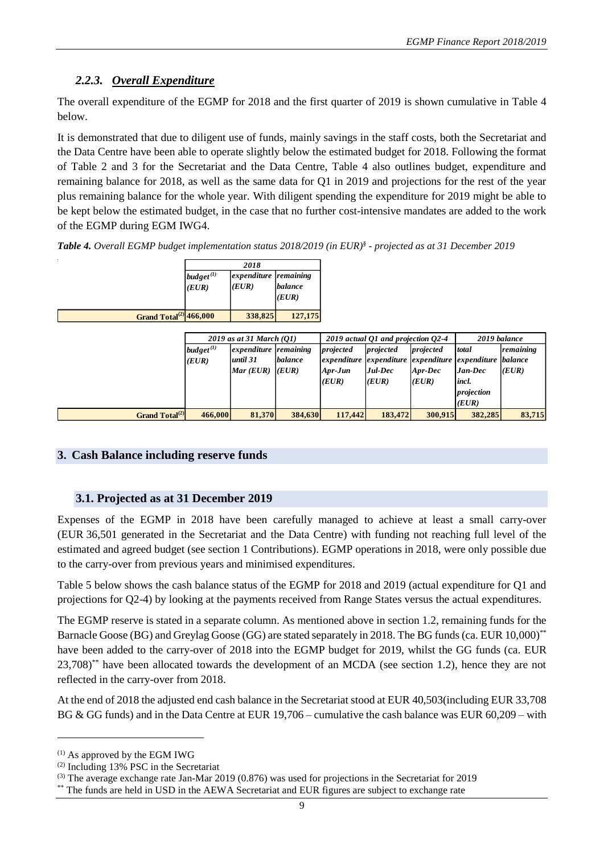# *2.2.3. Overall Expenditure*

The overall expenditure of the EGMP for 2018 and the first quarter of 2019 is shown cumulative in Table 4 below.

It is demonstrated that due to diligent use of funds, mainly savings in the staff costs, both the Secretariat and the Data Centre have been able to operate slightly below the estimated budget for 2018. Following the format of Table 2 and 3 for the Secretariat and the Data Centre, Table 4 also outlines budget, expenditure and remaining balance for 2018, as well as the same data for Q1 in 2019 and projections for the rest of the year plus remaining balance for the whole year. With diligent spending the expenditure for 2019 might be able to be kept below the estimated budget, in the case that no further cost-intensive mandates are added to the work of the EGMP during EGM IWG4.

*Table 4. Overall EGMP budget implementation status 2018/2019 (in EUR) § - projected as at 31 December 2019*

|                                    | 2018                     |                                |                  |  |  |
|------------------------------------|--------------------------|--------------------------------|------------------|--|--|
|                                    | budget $^{(1)}$<br>(EUR) | expenditure remaining<br>(EUR) | balance<br>(EUR) |  |  |
| Grand Total <sup>(2)</sup> 466,000 |                          | 338,825                        | 127,175          |  |  |

|                                                                                                                                                                                                                                                                                                                                                                                                                                                                                                   | budget $^{(1)}$<br>(EUR) | expenditure<br>(EUR)                              | remaining<br><b>balance</b><br>(EUR) |                                 |                                                 |                                 |                                                        |                         |
|---------------------------------------------------------------------------------------------------------------------------------------------------------------------------------------------------------------------------------------------------------------------------------------------------------------------------------------------------------------------------------------------------------------------------------------------------------------------------------------------------|--------------------------|---------------------------------------------------|--------------------------------------|---------------------------------|-------------------------------------------------|---------------------------------|--------------------------------------------------------|-------------------------|
| Grand Total <sup>(2)</sup> 466,000                                                                                                                                                                                                                                                                                                                                                                                                                                                                |                          | 338,825                                           | 127,175                              |                                 |                                                 |                                 |                                                        |                         |
|                                                                                                                                                                                                                                                                                                                                                                                                                                                                                                   | $budget^{(1)}$           | 2019 as at 31 March (Q1)<br>expenditure remaining |                                      | projected                       | 2019 actual Q1 and projection Q2-4<br>projected | projected                       | 2019 balance<br>total                                  | remaining               |
|                                                                                                                                                                                                                                                                                                                                                                                                                                                                                                   | (EUR)                    | until 31<br>Mar (EUR)                             | balance<br>(EUR)                     | expenditure<br>Apr-Jun<br>(EUR) | expenditure<br>Jul-Dec<br>(EUR)                 | expenditure<br>Apr-Dec<br>(EUR) | expenditure<br>Jan-Dec<br>incl.<br>projection<br>(EUR) | <b>balance</b><br>(EUR) |
| Grand Total <sup>(2)</sup>                                                                                                                                                                                                                                                                                                                                                                                                                                                                        | 466,000                  | 81,370                                            | 384,630                              | 117,442                         | 183,472                                         | 300,915                         | 382,285                                                | 83,715                  |
|                                                                                                                                                                                                                                                                                                                                                                                                                                                                                                   |                          |                                                   |                                      |                                 |                                                 |                                 |                                                        |                         |
| 3. Cash Balance including reserve funds                                                                                                                                                                                                                                                                                                                                                                                                                                                           |                          |                                                   |                                      |                                 |                                                 |                                 |                                                        |                         |
|                                                                                                                                                                                                                                                                                                                                                                                                                                                                                                   |                          |                                                   |                                      |                                 |                                                 |                                 |                                                        |                         |
| 3.1. Projected as at 31 December 2019                                                                                                                                                                                                                                                                                                                                                                                                                                                             |                          |                                                   |                                      |                                 |                                                 |                                 |                                                        |                         |
| Expenses of the EGMP in 2018 have been carefully managed to achieve at least a small carry-over<br>(EUR 36,501 generated in the Secretariat and the Data Centre) with funding not reaching full level of the<br>estimated and agreed budget (see section 1 Contributions). EGMP operations in 2018, were only possible due<br>to the carry-over from previous years and minimised expenditures.                                                                                                   |                          |                                                   |                                      |                                 |                                                 |                                 |                                                        |                         |
| Table 5 below shows the cash balance status of the EGMP for 2018 and 2019 (actual expenditure for Q1 and<br>projections for Q2-4) by looking at the payments received from Range States versus the actual expenditures.                                                                                                                                                                                                                                                                           |                          |                                                   |                                      |                                 |                                                 |                                 |                                                        |                         |
| The EGMP reserve is stated in a separate column. As mentioned above in section 1.2, remaining funds for the<br>Barnacle Goose (BG) and Greylag Goose (GG) are stated separately in 2018. The BG funds (ca. EUR 10,000)**<br>have been added to the carry-over of 2018 into the EGMP budget for 2019, whilst the GG funds (ca. EUR<br>23,708) <sup>**</sup> have been allocated towards the development of an MCDA (see section 1.2), hence they are not<br>reflected in the carry-over from 2018. |                          |                                                   |                                      |                                 |                                                 |                                 |                                                        |                         |
| At the end of 2018 the adjusted end cash balance in the Secretariat stood at EUR 40,503(including EUR 33,708)<br>BG & GG funds) and in the Data Centre at EUR 19,706 – cumulative the cash balance was EUR 60,209 – with                                                                                                                                                                                                                                                                          |                          |                                                   |                                      |                                 |                                                 |                                 |                                                        |                         |
| $^{(1)}$ As approved by the EGM IWG<br>$(2)$ Including 13% PSC in the Secretariat<br><sup>(3)</sup> The average exchange rate Jan-Mar 2019 (0.876) was used for projections in the Secretariat for 2019<br>** The funds are held in USD in the AEWA Secretariat and EUR figures are subject to exchange rate                                                                                                                                                                                      |                          |                                                   |                                      |                                 |                                                 |                                 |                                                        |                         |

### **3. Cash Balance including reserve funds**

### **3.1. Projected as at 31 December 2019**

 $(1)$  As approved by the EGM IWG

<sup>(2)</sup> Including 13% PSC in the Secretariat

<sup>(3)</sup> The average exchange rate Jan-Mar 2019 (0.876) was used for projections in the Secretariat for 2019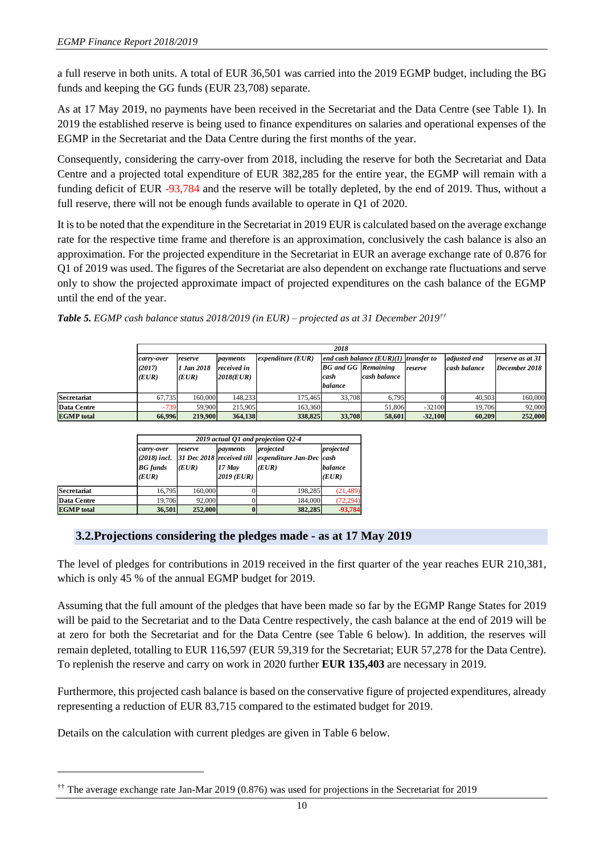a full reserve in both units. A total of EUR 36,501 was carried into the 2019 EGMP budget, including the BG funds and keeping the GG funds (EUR 23,708) separate.

As at 17 May 2019, no payments have been received in the Secretariat and the Data Centre (see Table 1). In 2019 the established reserve is being used to finance expenditures on salaries and operational expenses of the EGMP in the Secretariat and the Data Centre during the first months of the year.

Consequently, considering the carry-over from 2018, including the reserve for both the Secretariat and Data Centre and a projected total expenditure of EUR 382,285 for the entire year, the EGMP will remain with a funding deficit of EUR -93,784 and the reserve will be totally depleted, by the end of 2019. Thus, without a full reserve, there will not be enough funds available to operate in Q1 of 2020.

It is to be noted that the expenditure in the Secretariat in 2019 EUR is calculated based on the average exchange rate for the respective time frame and therefore is an approximation, conclusively the cash balance is also an approximation. For the projected expenditure in the Secretariat in EUR an average exchange rate of 0.876 for Q1 of 2019 was used. The figures of the Secretariat are also dependent on exchange rate fluctuations and serve only to show the projected approximate impact of projected expenditures on the cash balance of the EGMP until the end of the year.

|  |  |  |  |  |  |  | <b>Table 5.</b> EGMP cash balance status 2018/2019 (in EUR) – projected as at 31 December 2019 <sup>††</sup> |
|--|--|--|--|--|--|--|--------------------------------------------------------------------------------------------------------------|
|--|--|--|--|--|--|--|--------------------------------------------------------------------------------------------------------------|

|                    |                               | 2018                           |                                      |                     |                                                                                               |        |           |                              |                                   |  |  |
|--------------------|-------------------------------|--------------------------------|--------------------------------------|---------------------|-----------------------------------------------------------------------------------------------|--------|-----------|------------------------------|-----------------------------------|--|--|
|                    | carry-over<br>(2017)<br>(EUR) | reserve<br>1 Jan 2018<br>(EUR) | payments<br>received in<br>2018(EUR) | expenditure $(EUR)$ | end cash balance $(EUR)(1)$ transfer to<br><b>BG</b> and GG Remaining<br>cash balance<br>cash |        | reserve   | adjusted end<br>cash balance | reserve as at 31<br>December 2018 |  |  |
|                    |                               |                                |                                      |                     | balance                                                                                       |        |           |                              |                                   |  |  |
| <b>Secretariat</b> | 67.735                        | 160,000                        | 148,233                              | 175.465             | 33,708                                                                                        | 6.795  |           | 40.503                       | 160,000                           |  |  |
| Data Centre        | $-739$                        | 59.900                         | 215,905                              | 163,360             |                                                                                               | 51,806 | $-32100$  | 19.706                       | 92,000                            |  |  |
| <b>EGMP</b> total  | 66,996                        | 219,900                        | 364,138                              | 338,825             | 33,708                                                                                        | 58,601 | $-32,100$ | 60.209                       | 252,000                           |  |  |

|                   |                                        |                  |                                  | 2019 actual O1 and projection O2-4                                                      |                               |
|-------------------|----------------------------------------|------------------|----------------------------------|-----------------------------------------------------------------------------------------|-------------------------------|
|                   | carry-over<br><b>BG</b> funds<br>(EUR) | reserve<br>(EUR) | payments<br>17 May<br>2019 (EUR) | projected<br>$(2018)$ incl. 31 Dec 2018 received till expenditure Jan-Dec cash<br>(EUR) | projected<br>balance<br>(EUR) |
| Secretariat       | 16.795                                 | 160,000          |                                  | 198.285                                                                                 | (21, 489)                     |
| Data Centre       | 19.706                                 | 92,000           |                                  | 184,000                                                                                 | (72.294)                      |
| <b>EGMP</b> total | 36,501                                 | 252,000          |                                  | 382,285                                                                                 | $-93,784$                     |

## **3.2.Projections considering the pledges made - as at 17 May 2019**

The level of pledges for contributions in 2019 received in the first quarter of the year reaches EUR 210,381, which is only 45 % of the annual EGMP budget for 2019.

Assuming that the full amount of the pledges that have been made so far by the EGMP Range States for 2019 will be paid to the Secretariat and to the Data Centre respectively, the cash balance at the end of 2019 will be at zero for both the Secretariat and for the Data Centre (see Table 6 below). In addition, the reserves will remain depleted, totalling to EUR 116,597 (EUR 59,319 for the Secretariat; EUR 57,278 for the Data Centre). To replenish the reserve and carry on work in 2020 further **EUR 135,403** are necessary in 2019. **EXERCISE EXCHANGE FOR AVERAGE FALL CONSULTS CONSULTS (SECRETARY PROPERTY)**<br> **EXAPTERING FOR AVERAGE RATES (AVERAGE PROPERTY)**<br> **EXAPTERING FOR AVERAGE RATES (AVERAGE PROPERTY)**<br> **EXAPTERING FOR AVERAGE STATE CONSULTS (AV** 

Furthermore, this projected cash balance is based on the conservative figure of projected expenditures, already representing a reduction of EUR 83,715 compared to the estimated budget for 2019.

Details on the calculation with current pledges are given in Table 6 below.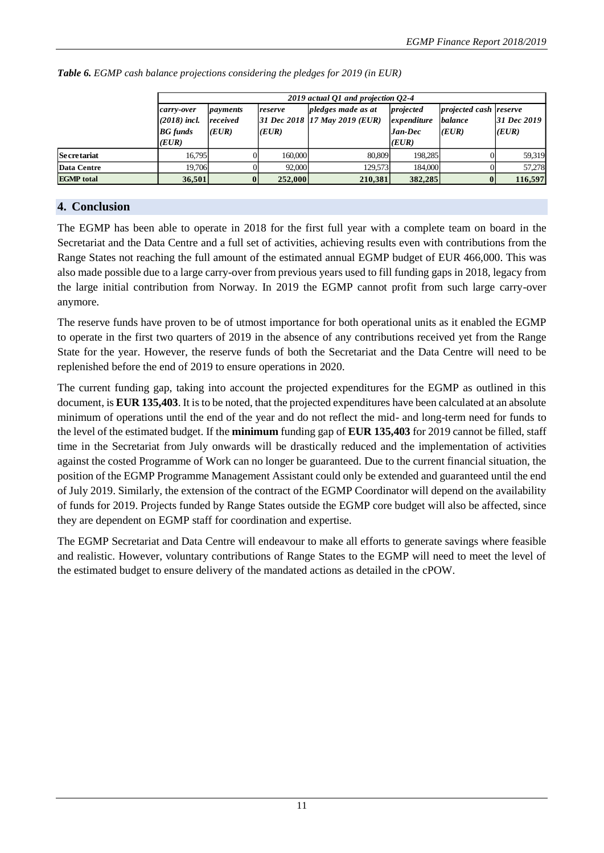|                    |                                                          | 2019 actual Q1 and projection Q2-4 |                  |                                                     |                                                |                                                   |                      |  |  |  |  |
|--------------------|----------------------------------------------------------|------------------------------------|------------------|-----------------------------------------------------|------------------------------------------------|---------------------------------------------------|----------------------|--|--|--|--|
|                    | carry-over<br>$(2018)$ incl.<br><b>BG</b> funds<br>(EUR) | payments<br>received<br>(EUR)      | reserve<br>(EUR) | pledges made as at<br>31 Dec 2018 17 May 2019 (EUR) | projected<br>expenditure<br>$Jan-Dec$<br>(EUR) | <i>projected cash reserve</i><br>balance<br>(EUR) | 31 Dec 2019<br>(EUR) |  |  |  |  |
| <b>Secretariat</b> | 16.795                                                   | 01                                 | 160,000          | 80.809                                              | 198.285                                        | ΩI                                                | 59.319               |  |  |  |  |
| <b>Data Centre</b> | 19.706                                                   |                                    | 92,000           | 129.573                                             | 184,000                                        |                                                   | 57,278               |  |  |  |  |
| <b>EGMP</b> total  | 36,501                                                   |                                    | 252,000          | 210,381                                             | 382,285                                        |                                                   | 116,597              |  |  |  |  |

|  |  |  |  |  |  | Table 6. EGMP cash balance projections considering the pledges for 2019 (in EUR) |
|--|--|--|--|--|--|----------------------------------------------------------------------------------|
|--|--|--|--|--|--|----------------------------------------------------------------------------------|

### **4. Conclusion**

The EGMP has been able to operate in 2018 for the first full year with a complete team on board in the Secretariat and the Data Centre and a full set of activities, achieving results even with contributions from the Range States not reaching the full amount of the estimated annual EGMP budget of EUR 466,000. This was also made possible due to a large carry-over from previous years used to fill funding gaps in 2018, legacy from the large initial contribution from Norway. In 2019 the EGMP cannot profit from such large carry-over anymore.

The reserve funds have proven to be of utmost importance for both operational units as it enabled the EGMP to operate in the first two quarters of 2019 in the absence of any contributions received yet from the Range State for the year. However, the reserve funds of both the Secretariat and the Data Centre will need to be replenished before the end of 2019 to ensure operations in 2020.

The current funding gap, taking into account the projected expenditures for the EGMP as outlined in this document, is **EUR 135,403**. It is to be noted, that the projected expenditures have been calculated at an absolute minimum of operations until the end of the year and do not reflect the mid- and long-term need for funds to the level of the estimated budget. If the **minimum** funding gap of **EUR 135,403** for 2019 cannot be filled, staff time in the Secretariat from July onwards will be drastically reduced and the implementation of activities against the costed Programme of Work can no longer be guaranteed. Due to the current financial situation, the position of the EGMP Programme Management Assistant could only be extended and guaranteed until the end of July 2019. Similarly, the extension of the contract of the EGMP Coordinator will depend on the availability of funds for 2019. Projects funded by Range States outside the EGMP core budget will also be affected, since they are dependent on EGMP staff for coordination and expertise.

The EGMP Secretariat and Data Centre will endeavour to make all efforts to generate savings where feasible and realistic. However, voluntary contributions of Range States to the EGMP will need to meet the level of the estimated budget to ensure delivery of the mandated actions as detailed in the cPOW.